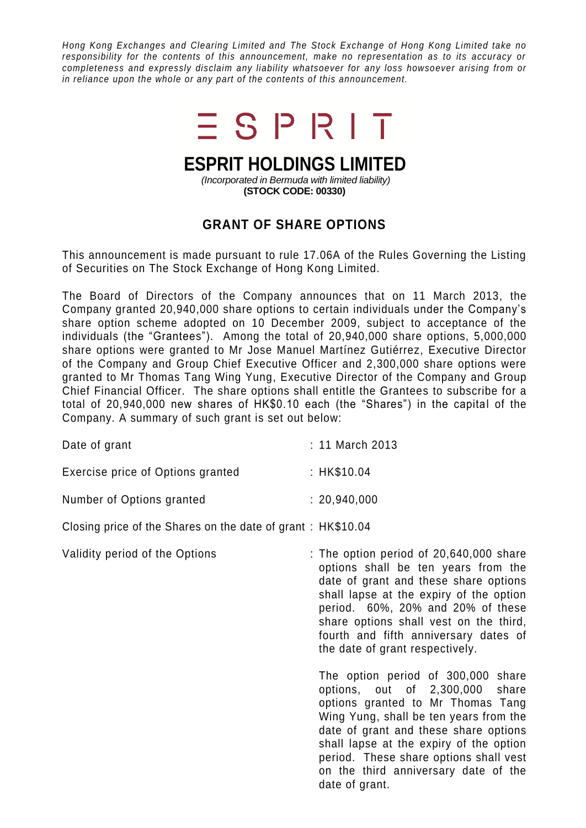*Hong Kong Exchanges and Clearing Limited and The Stock Exchange of Hong Kong Limited take no responsibility for the contents of this announcement, make no representation as to its accuracy or completeness and expressly disclaim any liability whatsoever for any loss howsoever arising from or in reliance upon the whole or any part of the contents of this announcement.*



## **ESPRIT HOLDINGS LIMITED**

*(Incorporated in Bermuda with limited liability)* **(STOCK CODE: 00330)**

## **GRANT OF SHARE OPTIONS**

This announcement is made pursuant to rule 17.06A of the Rules Governing the Listing of Securities on The Stock Exchange of Hong Kong Limited.

The Board of Directors of the Company announces that on 11 March 2013, the Company granted 20,940,000 share options to certain individuals under the Company's share option scheme adopted on 10 December 2009, subject to acceptance of the individuals (the "Grantees"). Among the total of 20,940,000 share options, 5,000,000 share options were granted to Mr Jose Manuel Martínez Gutiérrez, Executive Director of the Company and Group Chief Executive Officer and 2,300,000 share options were granted to Mr Thomas Tang Wing Yung, Executive Director of the Company and Group Chief Financial Officer. The share options shall entitle the Grantees to subscribe for a total of 20,940,000 new shares of HK\$0.10 each (the "Shares") in the capital of the Company. A summary of such grant is set out below:

| Date of grant                                               | : 11 March 2013                                                                                                                                                                                                                                                                                                                                 |
|-------------------------------------------------------------|-------------------------------------------------------------------------------------------------------------------------------------------------------------------------------------------------------------------------------------------------------------------------------------------------------------------------------------------------|
| Exercise price of Options granted                           | : HK\$10.04                                                                                                                                                                                                                                                                                                                                     |
| Number of Options granted                                   | : 20,940,000                                                                                                                                                                                                                                                                                                                                    |
| Closing price of the Shares on the date of grant: HK\$10.04 |                                                                                                                                                                                                                                                                                                                                                 |
| Validity period of the Options                              | : The option period of $20,640,000$ share<br>options shall be ten years from the<br>date of grant and these share options<br>shall lapse at the expiry of the option<br>period. 60%, 20% and 20% of these<br>share options shall vest on the third,<br>fourth and fifth anniversary dates of<br>the date of grant respectively.                 |
|                                                             | The option period of 300,000 share<br>options, out of 2,300,000<br>share<br>options granted to Mr Thomas Tang<br>Wing Yung, shall be ten years from the<br>date of grant and these share options<br>shall lapse at the expiry of the option<br>period. These share options shall vest<br>on the third anniversary date of the<br>date of grant. |